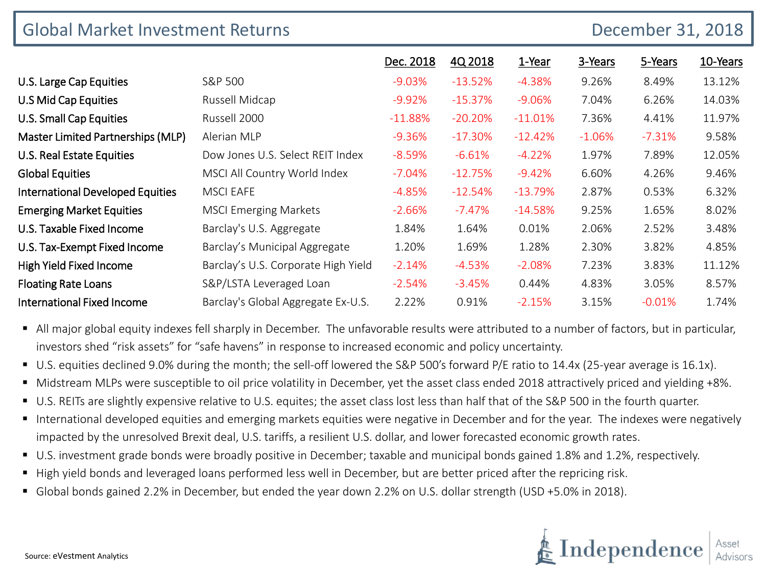| <b>Global Market Investment Returns</b> |                                     |           |           |           | December 31, 2018 |          |          |
|-----------------------------------------|-------------------------------------|-----------|-----------|-----------|-------------------|----------|----------|
|                                         |                                     | Dec. 2018 | 4Q 2018   | 1-Year    | 3-Years           | 5-Years  | 10-Years |
| U.S. Large Cap Equities                 | S&P 500                             | $-9.03%$  | $-13.52%$ | $-4.38%$  | 9.26%             | 8.49%    | 13.12%   |
| U.S Mid Cap Equities                    | Russell Midcap                      | $-9.92\%$ | $-15.37%$ | $-9.06%$  | 7.04%             | 6.26%    | 14.03%   |
| U.S. Small Cap Equities                 | Russell 2000                        | $-11.88%$ | $-20.20%$ | $-11.01%$ | 7.36%             | 4.41%    | 11.97%   |
| Master Limited Partnerships (MLP)       | Alerian MLP                         | $-9.36%$  | $-17.30%$ | $-12.42%$ | $-1.06%$          | $-7.31%$ | 9.58%    |
| U.S. Real Estate Equities               | Dow Jones U.S. Select REIT Index    | $-8.59%$  | $-6.61%$  | $-4.22%$  | 1.97%             | 7.89%    | 12.05%   |
| <b>Global Equities</b>                  | MSCI All Country World Index        | $-7.04%$  | $-12.75%$ | $-9.42%$  | 6.60%             | 4.26%    | 9.46%    |
| <b>International Developed Equities</b> | <b>MSCI EAFE</b>                    | $-4.85%$  | $-12.54%$ | $-13.79%$ | 2.87%             | 0.53%    | 6.32%    |
| <b>Emerging Market Equities</b>         | <b>MSCI Emerging Markets</b>        | $-2.66%$  | $-7.47%$  | $-14.58%$ | 9.25%             | 1.65%    | 8.02%    |
| U.S. Taxable Fixed Income               | Barclay's U.S. Aggregate            | 1.84%     | 1.64%     | 0.01%     | 2.06%             | 2.52%    | 3.48%    |
| U.S. Tax-Exempt Fixed Income            | Barclay's Municipal Aggregate       | 1.20%     | 1.69%     | 1.28%     | 2.30%             | 3.82%    | 4.85%    |
| High Yield Fixed Income                 | Barclay's U.S. Corporate High Yield | $-2.14%$  | $-4.53%$  | $-2.08%$  | 7.23%             | 3.83%    | 11.12%   |
| <b>Floating Rate Loans</b>              | S&P/LSTA Leveraged Loan             | $-2.54%$  | $-3.45%$  | 0.44%     | 4.83%             | 3.05%    | 8.57%    |
| <b>International Fixed Income</b>       | Barclay's Global Aggregate Ex-U.S.  | 2.22%     | 0.91%     | $-2.15%$  | 3.15%             | $-0.01%$ | 1.74%    |

- All major global equity indexes fell sharply in December. The unfavorable results were attributed to a number of factors, but in particular, investors shed "risk assets" for "safe havens" in response to increased economic and policy uncertainty.
- U.S. equities declined 9.0% during the month; the sell-off lowered the S&P 500's forward P/E ratio to 14.4x (25-year average is 16.1x).
- Midstream MLPs were susceptible to oil price volatility in December, yet the asset class ended 2018 attractively priced and yielding +8%.
- U.S. REITs are slightly expensive relative to U.S. equites; the asset class lost less than half that of the S&P 500 in the fourth quarter.
- International developed equities and emerging markets equities were negative in December and for the year. The indexes were negatively impacted by the unresolved Brexit deal, U.S. tariffs, a resilient U.S. dollar, and lower forecasted economic growth rates.
- U.S. investment grade bonds were broadly positive in December; taxable and municipal bonds gained 1.8% and 1.2%, respectively.
- High yield bonds and leveraged loans performed less well in December, but are better priced after the repricing risk.
- Global bonds gained 2.2% in December, but ended the year down 2.2% on U.S. dollar strength (USD +5.0% in 2018).